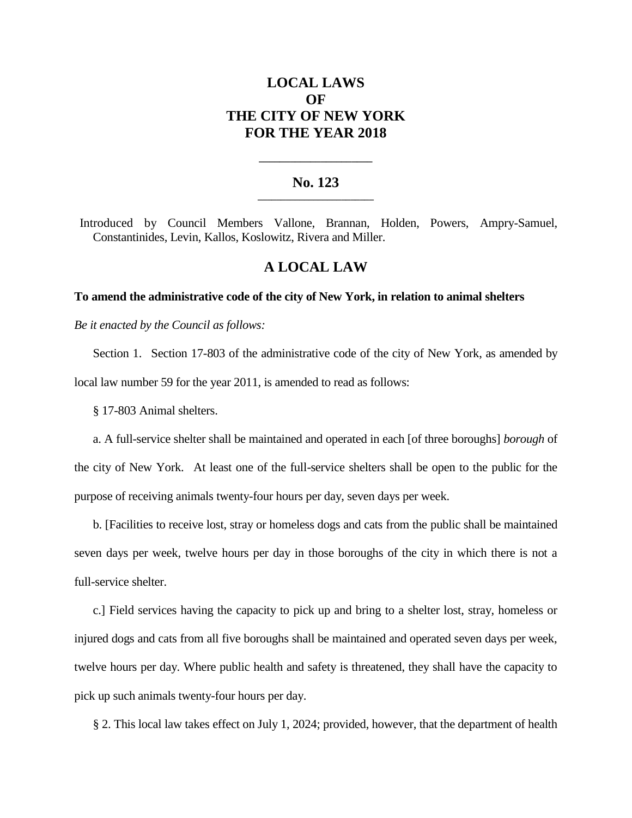# **LOCAL LAWS OF THE CITY OF NEW YORK FOR THE YEAR 2018**

### **No. 123 \_\_\_\_\_\_\_\_\_\_\_\_\_\_\_\_\_\_\_\_\_\_\_\_\_**

**\_\_\_\_\_\_\_\_\_\_\_\_\_\_\_\_\_\_\_\_\_\_**

Introduced by Council Members Vallone, Brannan, Holden, Powers, Ampry-Samuel, Constantinides, Levin, Kallos, Koslowitz, Rivera and Miller.

## **A LOCAL LAW**

#### **To amend the administrative code of the city of New York, in relation to animal shelters**

*Be it enacted by the Council as follows:*

Section 1. Section 17-803 of the administrative code of the city of New York, as amended by local law number 59 for the year 2011, is amended to read as follows:

§ 17-803 Animal shelters.

a. A full-service shelter shall be maintained and operated in each [of three boroughs] *borough* of the city of New York. At least one of the full-service shelters shall be open to the public for the purpose of receiving animals twenty-four hours per day, seven days per week.

b. [Facilities to receive lost, stray or homeless dogs and cats from the public shall be maintained seven days per week, twelve hours per day in those boroughs of the city in which there is not a full-service shelter.

c.] Field services having the capacity to pick up and bring to a shelter lost, stray, homeless or injured dogs and cats from all five boroughs shall be maintained and operated seven days per week, twelve hours per day. Where public health and safety is threatened, they shall have the capacity to pick up such animals twenty-four hours per day.

§ 2. This local law takes effect on July 1, 2024; provided, however, that the department of health